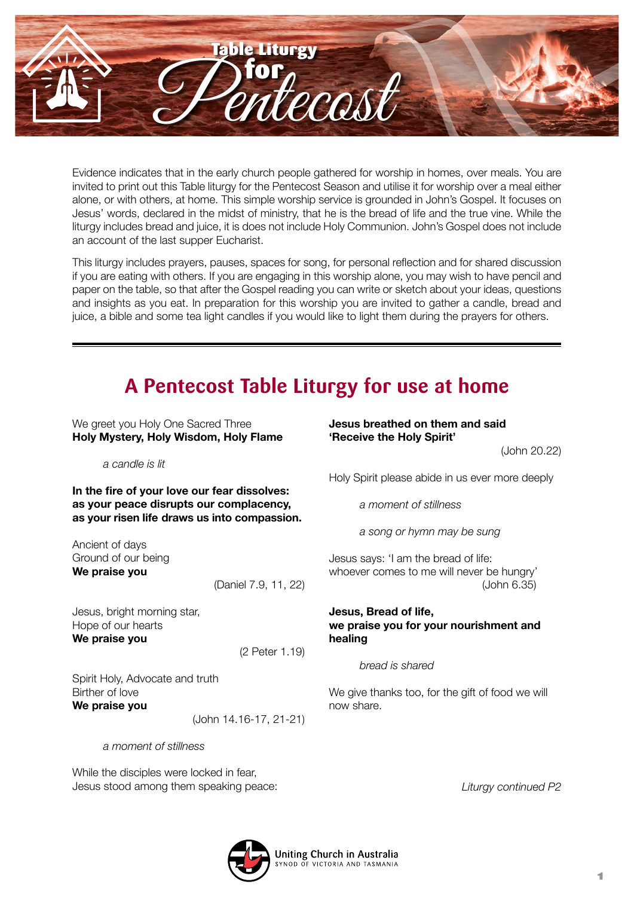

Evidence indicates that in the early church people gathered for worship in homes, over meals. You are invited to print out this Table liturgy for the Pentecost Season and utilise it for worship over a meal either alone, or with others, at home. This simple worship service is grounded in John's Gospel. It focuses on Jesus' words, declared in the midst of ministry, that he is the bread of life and the true vine. While the liturgy includes bread and juice, it is does not include Holy Communion. John's Gospel does not include an account of the last supper Eucharist.

This liturgy includes prayers, pauses, spaces for song, for personal reflection and for shared discussion if you are eating with others. If you are engaging in this worship alone, you may wish to have pencil and paper on the table, so that after the Gospel reading you can write or sketch about your ideas, questions and insights as you eat. In preparation for this worship you are invited to gather a candle, bread and juice, a bible and some tea light candles if you would like to light them during the prayers for others.

# **A Pentecost Table Liturgy for use at home**

We greet you Holy One Sacred Three **Holy Mystery, Holy Wisdom, Holy Flame**

*a candle is lit*

**In the fire of your love our fear dissolves: as your peace disrupts our complacency, as your risen life draws us into compassion.**

Ancient of days Ground of our being **We praise you**

(Daniel 7.9, 11, 22)

Jesus, bright morning star, Hope of our hearts **We praise you** 

(2 Peter 1.19)

Spirit Holy, Advocate and truth Birther of love **We praise you**

(John 14.16-17, 21-21)

*a moment of stillness*

While the disciples were locked in fear, Jesus stood among them speaking peace: **Jesus breathed on them and said 'Receive the Holy Spirit'**

(John 20.22)

Holy Spirit please abide in us ever more deeply

*a moment of stillness*

*a song or hymn may be sung*

Jesus says: 'I am the bread of life: whoever comes to me will never be hungry' (John 6.35)

## **Jesus, Bread of life, we praise you for your nourishment and healing**

*bread is shared*

We give thanks too, for the gift of food we will now share.

*Liturgy continued P2*